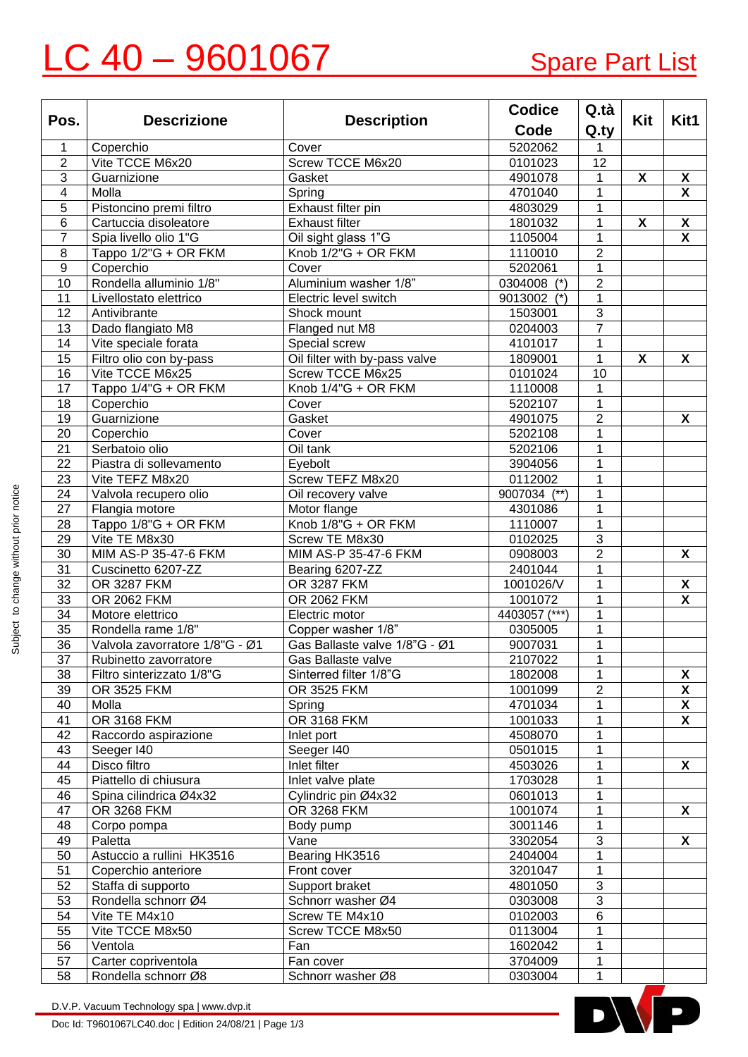## LC 40 - 9601067 Spare Part List

|                         | <b>Descrizione</b>             | <b>Description</b>            | <b>Codice</b> | Q.tà                         |     |                           |
|-------------------------|--------------------------------|-------------------------------|---------------|------------------------------|-----|---------------------------|
| Pos.                    |                                |                               | Code          | Q.ty                         | Kit | Kit1                      |
| 1                       | Coperchio                      | Cover                         | 5202062       | 1                            |     |                           |
| $\overline{2}$          | Vite TCCE M6x20                | Screw TCCE M6x20              | 0101023       | 12                           |     |                           |
| $\sqrt{3}$              | Guarnizione                    | Gasket                        | 4901078       | 1                            | X   | X                         |
| $\overline{\mathbf{4}}$ | Molla                          | Spring                        | 4701040       | 1                            |     | $\boldsymbol{\mathsf{x}}$ |
| 5                       | Pistoncino premi filtro        | Exhaust filter pin            | 4803029       | 1                            |     |                           |
| 6                       | Cartuccia disoleatore          | <b>Exhaust filter</b>         | 1801032       | 1                            | X   | X                         |
| $\overline{7}$          | Spia livello olio 1"G          | Oil sight glass 1"G           | 1105004       | 1                            |     | $\boldsymbol{\mathsf{x}}$ |
| 8                       | Tappo 1/2"G + OR FKM           | Knob 1/2"G + OR FKM           | 1110010       | $\overline{2}$               |     |                           |
| $\boldsymbol{9}$        | Coperchio                      | Cover                         | 5202061       | 1                            |     |                           |
| 10                      | Rondella alluminio 1/8"        | Aluminium washer 1/8"         | 0304008 (*)   | $\overline{2}$               |     |                           |
| 11                      | Livellostato elettrico         | Electric level switch         | 9013002 (*)   | 1                            |     |                           |
| 12                      | Antivibrante                   | Shock mount                   | 1503001       | $\mathfrak{B}$               |     |                           |
| 13                      | Dado flangiato M8              | Flanged nut M8                | 0204003       | $\overline{7}$               |     |                           |
| 14                      | Vite speciale forata           | Special screw                 | 4101017       | $\mathbf{1}$                 |     |                           |
| $\overline{15}$         | Filtro olio con by-pass        | Oil filter with by-pass valve | 1809001       | $\mathbf{1}$                 | X   | X                         |
| $\overline{16}$         | Vite TCCE M6x25                | Screw TCCE M6x25              | 0101024       | 10                           |     |                           |
| $\overline{17}$         | Tappo 1/4"G + OR FKM           | Knob 1/4"G + OR FKM           | 1110008       | $\mathbf{1}$                 |     |                           |
| 18                      | Coperchio                      | Cover                         | 5202107       | $\mathbf{1}$                 |     |                           |
| $\overline{19}$         | Guarnizione                    | Gasket                        | 4901075       | $\overline{2}$               |     | $\boldsymbol{\mathsf{X}}$ |
| 20                      | Coperchio                      | Cover                         | 5202108       | $\mathbf{1}$                 |     |                           |
| $\overline{21}$         | Serbatoio olio                 | Oil tank                      | 5202106       | $\mathbf{1}$                 |     |                           |
| 22                      | Piastra di sollevamento        | Eyebolt                       | 3904056       | $\mathbf{1}$                 |     |                           |
| $\overline{23}$         | Vite TEFZ M8x20                | Screw TEFZ M8x20              | 0112002       | 1                            |     |                           |
| 24                      | Valvola recupero olio          | Oil recovery valve            | 9007034 (**)  | $\mathbf{1}$                 |     |                           |
| $\overline{27}$         | Flangia motore                 | Motor flange                  | 4301086       | $\mathbf{1}$                 |     |                           |
| 28                      | Tappo 1/8"G + OR FKM           | Knob 1/8"G + OR FKM           | 1110007       | $\mathbf{1}$                 |     |                           |
| 29                      | Vite TE M8x30                  | Screw TE M8x30                | 0102025       | $\overline{3}$               |     |                           |
| $\overline{30}$         | MIM AS-P 35-47-6 FKM           | MIM AS-P 35-47-6 FKM          | 0908003       | $\overline{2}$               |     | X                         |
| 31                      | Cuscinetto 6207-ZZ             | Bearing 6207-ZZ               | 2401044       | $\mathbf{1}$                 |     |                           |
| 32                      | OR 3287 FKM                    | OR 3287 FKM                   | 1001026/V     | $\mathbf{1}$                 |     | X                         |
| 33                      | <b>OR 2062 FKM</b>             | OR 2062 FKM                   | 1001072       | $\mathbf{1}$                 |     | $\overline{\mathbf{X}}$   |
| $\overline{34}$         | Motore elettrico               | Electric motor                | 4403057 (***) | $\mathbf{1}$                 |     |                           |
| 35                      | Rondella rame 1/8"             | Copper washer 1/8"            | 0305005       | $\mathbf{1}$                 |     |                           |
| 36                      | Valvola zavorratore 1/8"G - Ø1 | Gas Ballaste valve 1/8"G - Ø1 | 9007031       | $\mathbf{1}$                 |     |                           |
| $\overline{37}$         | Rubinetto zavorratore          | Gas Ballaste valve            | 2107022       | 1                            |     |                           |
| 38                      | Filtro sinterizzato 1/8"G      | Sinterred filter 1/8"G        | 1802008       |                              |     | $\pmb{\mathsf{X}}$        |
| 39                      | OR 3525 FKM                    | OR 3525 FKM                   | 1001099       | 1<br>$\overline{2}$          |     | X                         |
| 40                      | Molla                          |                               | 4701034       | $\mathbf{1}$                 |     | $\overline{\mathbf{X}}$   |
| 41                      | <b>OR 3168 FKM</b>             | Spring<br><b>OR 3168 FKM</b>  | 1001033       | $\mathbf{1}$                 |     | $\overline{\mathbf{x}}$   |
|                         | Raccordo aspirazione           |                               | 4508070       | $\mathbf{1}$                 |     |                           |
| 42                      |                                | Inlet port                    |               |                              |     |                           |
| 43<br>44                | Seeger I40<br>Disco filtro     | Seeger 140<br>Inlet filter    | 0501015       | $\mathbf{1}$<br>$\mathbf{1}$ |     | X                         |
|                         |                                |                               | 4503026       |                              |     |                           |
| 45                      | Piattello di chiusura          | Inlet valve plate             | 1703028       | $\mathbf{1}$                 |     |                           |
| 46                      | Spina cilindrica Ø4x32         | Cylindric pin Ø4x32           | 0601013       | $\mathbf{1}$                 |     |                           |
| 47                      | OR 3268 FKM                    | OR 3268 FKM                   | 1001074       | $\mathbf{1}$                 |     | $\boldsymbol{\mathsf{X}}$ |
| 48                      | Corpo pompa                    | Body pump                     | 3001146       | $\mathbf{1}$                 |     |                           |
| 49                      | Paletta                        | Vane                          | 3302054       | $\sqrt{3}$                   |     | X                         |
| 50                      | Astuccio a rullini HK3516      | Bearing HK3516                | 2404004       | $\mathbf{1}$                 |     |                           |
| 51                      | Coperchio anteriore            | Front cover                   | 3201047       | $\mathbf{1}$                 |     |                           |
| 52                      | Staffa di supporto             | Support braket                | 4801050       | $\mathfrak{S}$               |     |                           |
| 53                      | Rondella schnorr Ø4            | Schnorr washer Ø4             | 0303008       | $\sqrt{3}$                   |     |                           |
| 54                      | Vite TE M4x10                  | Screw TE M4x10                | 0102003       | 6                            |     |                           |
| 55                      | Vite TCCE M8x50                | Screw TCCE M8x50              | 0113004       | 1                            |     |                           |
| 56                      | Ventola                        | Fan                           | 1602042       | $\mathbf{1}$                 |     |                           |
| 57                      | Carter copriventola            | Fan cover                     | 3704009       | 1                            |     |                           |
| 58                      | Rondella schnorr Ø8            | Schnorr washer Ø8             | 0303004       | $\mathbf{1}$                 |     |                           |

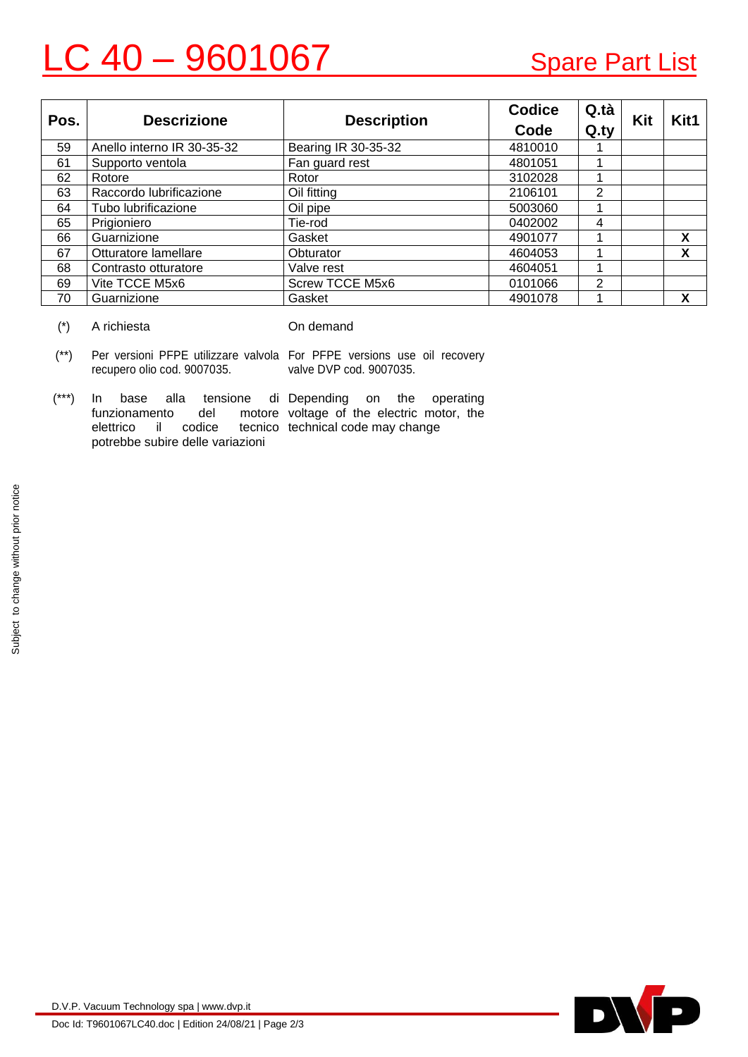## C 40 – 9601067 Spare Part List

| Pos. | <b>Descrizione</b>         | <b>Description</b>  | <b>Codice</b> | Q.tà | Kit | Kit1 |
|------|----------------------------|---------------------|---------------|------|-----|------|
|      |                            |                     | Code          | Q.ty |     |      |
| 59   | Anello interno IR 30-35-32 | Bearing IR 30-35-32 | 4810010       |      |     |      |
| 61   | Supporto ventola           | Fan guard rest      | 4801051       |      |     |      |
| 62   | Rotore                     | Rotor               | 3102028       |      |     |      |
| 63   | Raccordo lubrificazione    | Oil fitting         | 2106101       | 2    |     |      |
| 64   | Tubo lubrificazione        | Oil pipe            | 5003060       |      |     |      |
| 65   | Prigioniero                | Tie-rod             | 0402002       | 4    |     |      |
| 66   | Guarnizione                | Gasket              | 4901077       |      |     | X    |
| 67   | Otturatore lamellare       | Obturator           | 4604053       |      |     | χ    |
| 68   | Contrasto otturatore       | Valve rest          | 4604051       |      |     |      |
| 69   | Vite TCCE M5x6             | Screw TCCE M5x6     | 0101066       | 2    |     |      |
| 70   | Guarnizione                | Gasket              | 4901078       |      |     | x    |

(\*) A richiesta On demand

- (\*\*) Per versioni PFPE utilizzare valvola For PFPE versions use oil recovery recupero olio cod. 9007035. valve DVP cod. 9007035.
- $(***)$  In base alla tensione funzionamento del elettrico il codice potrebbe subire delle variazioni di Depending on the operating motore voltage of the electric motor, the tecnico technical code may change